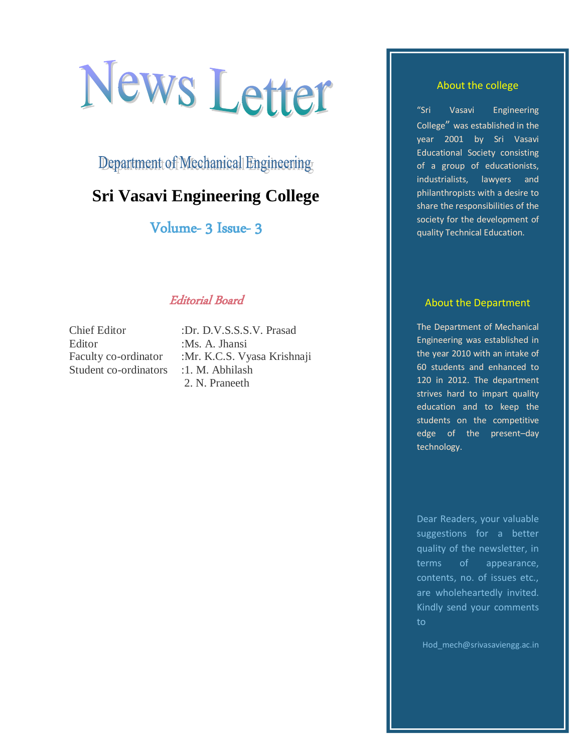# News Letter

Department of Mechanical Engineering

# **Sri Vasavi Engineering College**

Volume- 3 Issue- 3

# Editorial Board

Chief Editor :Dr. D.V.S.S.S.V. Prasad Editor :Ms. A. Jhansi Student co-ordinators : 1. M. Abhilash

Faculty co-ordinator :Mr. K.C.S. Vyasa Krishnaji 2. N. Praneeth

#### About the college

"Sri Vasavi Engineering College" was established in the year 2001 by Sri Vasavi Educational Society consisting of a group of educationists, industrialists, lawyers and philanthropists with a desire to share the responsibilities of the society for the development of quality Technical Education.

#### About the Department

The Department of Mechanical Engineering was established in the year 2010 with an intake of 60 students and enhanced to 120 in 2012. The department strives hard to impart quality education and to keep the students on the competitive edge of the present–day technology.

Dear Readers, your valuable suggestions for a better quality of the newsletter, in terms of appearance, contents, no. of issues etc., are wholeheartedly invited. Kindly send your comments to

Hod mech@srivasaviengg.ac.in